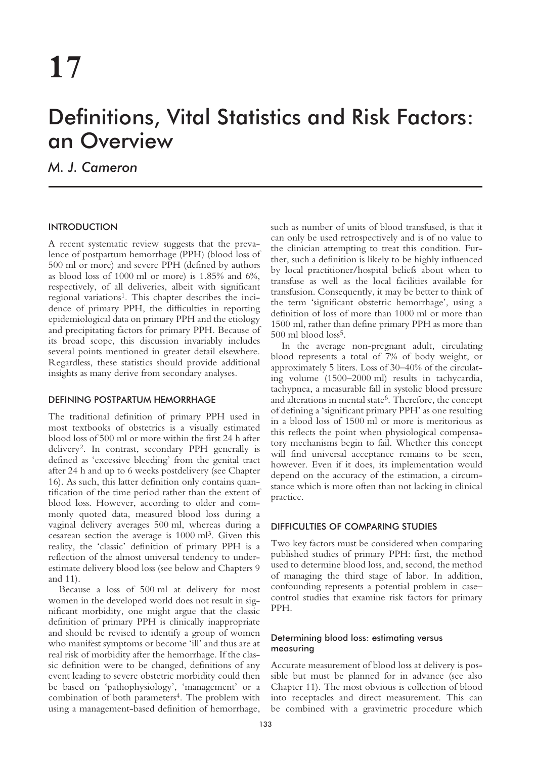# Definitions, Vital Statistics and Risk Factors: an Overview

*M. J. Cameron*

# INTRODUCTION

A recent systematic review suggests that the prevalence of postpartum hemorrhage (PPH) (blood loss of 500 ml or more) and severe PPH (defined by authors as blood loss of 1000 ml or more) is 1.85% and 6%, respectively, of all deliveries, albeit with significant regional variations<sup>1</sup>. This chapter describes the incidence of primary PPH, the difficulties in reporting epidemiological data on primary PPH and the etiology and precipitating factors for primary PPH. Because of its broad scope, this discussion invariably includes several points mentioned in greater detail elsewhere. Regardless, these statistics should provide additional insights as many derive from secondary analyses.

## DEFINING POSTPARTUM HEMORRHAGE

The traditional definition of primary PPH used in most textbooks of obstetrics is a visually estimated blood loss of 500 ml or more within the first 24 h after delivery2. In contrast, secondary PPH generally is defined as 'excessive bleeding' from the genital tract after 24 h and up to 6 weeks postdelivery (see Chapter 16). As such, this latter definition only contains quantification of the time period rather than the extent of blood loss. However, according to older and commonly quoted data, measured blood loss during a vaginal delivery averages 500 ml, whereas during a cesarean section the average is 1000 ml3. Given this reality, the 'classic' definition of primary PPH is a reflection of the almost universal tendency to underestimate delivery blood loss (see below and Chapters 9 and 11).

Because a loss of 500 ml at delivery for most women in the developed world does not result in significant morbidity, one might argue that the classic definition of primary PPH is clinically inappropriate and should be revised to identify a group of women who manifest symptoms or become 'ill' and thus are at real risk of morbidity after the hemorrhage. If the classic definition were to be changed, definitions of any event leading to severe obstetric morbidity could then be based on 'pathophysiology', 'management' or a combination of both parameters<sup>4</sup>. The problem with using a management-based definition of hemorrhage,

such as number of units of blood transfused, is that it can only be used retrospectively and is of no value to the clinician attempting to treat this condition. Further, such a definition is likely to be highly influenced by local practitioner/hospital beliefs about when to transfuse as well as the local facilities available for transfusion. Consequently, it may be better to think of the term 'significant obstetric hemorrhage', using a definition of loss of more than 1000 ml or more than 1500 ml, rather than define primary PPH as more than 500 ml blood loss<sup>5</sup>.

In the average non-pregnant adult, circulating blood represents a total of 7% of body weight, or approximately 5 liters. Loss of 30–40% of the circulating volume (1500–2000 ml) results in tachycardia, tachypnea, a measurable fall in systolic blood pressure and alterations in mental state<sup>6</sup>. Therefore, the concept of defining a 'significant primary PPH' as one resulting in a blood loss of 1500 ml or more is meritorious as this reflects the point when physiological compensatory mechanisms begin to fail. Whether this concept will find universal acceptance remains to be seen, however. Even if it does, its implementation would depend on the accuracy of the estimation, a circumstance which is more often than not lacking in clinical practice.

# DIFFICULTIES OF COMPARING STUDIES

Two key factors must be considered when comparing published studies of primary PPH: first, the method used to determine blood loss, and, second, the method of managing the third stage of labor. In addition, confounding represents a potential problem in case– control studies that examine risk factors for primary PPH.

## Determining blood loss: estimating versus measuring

Accurate measurement of blood loss at delivery is possible but must be planned for in advance (see also Chapter 11). The most obvious is collection of blood into receptacles and direct measurement. This can be combined with a gravimetric procedure which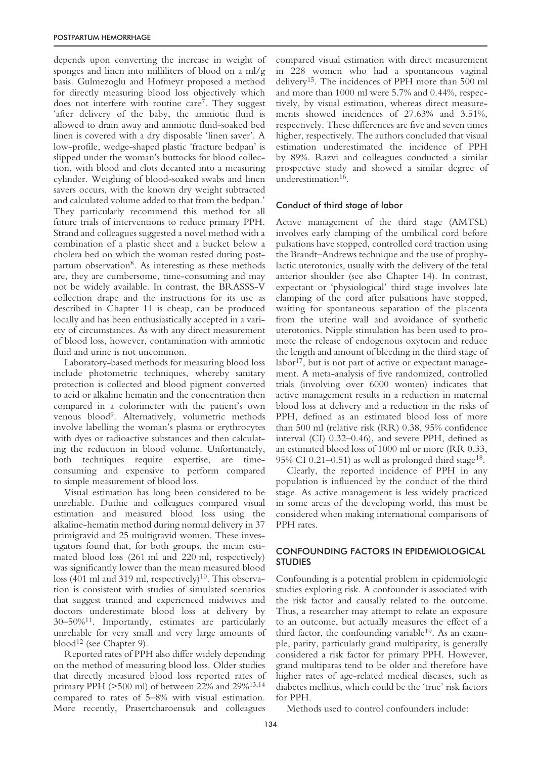depends upon converting the increase in weight of sponges and linen into milliliters of blood on a ml/g basis. Gulmezoglu and Hofmeyr proposed a method for directly measuring blood loss objectively which does not interfere with routine care7. They suggest 'after delivery of the baby, the amniotic fluid is allowed to drain away and amniotic fluid-soaked bed linen is covered with a dry disposable 'linen saver'. A low-profile, wedge-shaped plastic 'fracture bedpan' is slipped under the woman's buttocks for blood collection, with blood and clots decanted into a measuring cylinder. Weighing of blood-soaked swabs and linen savers occurs, with the known dry weight subtracted and calculated volume added to that from the bedpan.' They particularly recommend this method for all future trials of interventions to reduce primary PPH. Strand and colleagues suggested a novel method with a combination of a plastic sheet and a bucket below a cholera bed on which the woman rested during postpartum observation<sup>8</sup>. As interesting as these methods are, they are cumbersome, time-consuming and may not be widely available. In contrast, the BRASSS-V collection drape and the instructions for its use as described in Chapter 11 is cheap, can be produced locally and has been enthusiastically accepted in a variety of circumstances. As with any direct measurement of blood loss, however, contamination with amniotic fluid and urine is not uncommon.

Laboratory-based methods for measuring blood loss include photometric techniques, whereby sanitary protection is collected and blood pigment converted to acid or alkaline hematin and the concentration then compared in a colorimeter with the patient's own venous blood9. Alternatively, volumetric methods involve labelling the woman's plasma or erythrocytes with dyes or radioactive substances and then calculating the reduction in blood volume. Unfortunately, both techniques require expertise, are timeconsuming and expensive to perform compared to simple measurement of blood loss.

Visual estimation has long been considered to be unreliable. Duthie and colleagues compared visual estimation and measured blood loss using the alkaline-hematin method during normal delivery in 37 primigravid and 25 multigravid women. These investigators found that, for both groups, the mean estimated blood loss (261 ml and 220 ml, respectively) was significantly lower than the mean measured blood loss (401 ml and 319 ml, respectively)<sup>10</sup>. This observation is consistent with studies of simulated scenarios that suggest trained and experienced midwives and doctors underestimate blood loss at delivery by 30–50%11. Importantly, estimates are particularly unreliable for very small and very large amounts of blood<sup>12</sup> (see Chapter 9).

Reported rates of PPH also differ widely depending on the method of measuring blood loss. Older studies that directly measured blood loss reported rates of primary PPH (>500 ml) of between 22% and 29%13,14 compared to rates of 5–8% with visual estimation. More recently, Prasertcharoensuk and colleagues

compared visual estimation with direct measurement in 228 women who had a spontaneous vaginal delivery15. The incidences of PPH more than 500 ml and more than 1000 ml were 5.7% and 0.44%, respectively, by visual estimation, whereas direct measurements showed incidences of 27.63% and 3.51%, respectively. These differences are five and seven times higher, respectively. The authors concluded that visual estimation underestimated the incidence of PPH by 89%. Razvi and colleagues conducted a similar prospective study and showed a similar degree of underestimation<sup>16</sup>.

#### Conduct of third stage of labor

Active management of the third stage (AMTSL) involves early clamping of the umbilical cord before pulsations have stopped, controlled cord traction using the Brandt–Andrews technique and the use of prophylactic uterotonics, usually with the delivery of the fetal anterior shoulder (see also Chapter 14). In contrast, expectant or 'physiological' third stage involves late clamping of the cord after pulsations have stopped, waiting for spontaneous separation of the placenta from the uterine wall and avoidance of synthetic uterotonics. Nipple stimulation has been used to promote the release of endogenous oxytocin and reduce the length and amount of bleeding in the third stage of labor<sup>17</sup>, but is not part of active or expectant management. A meta-analysis of five randomized, controlled trials (involving over 6000 women) indicates that active management results in a reduction in maternal blood loss at delivery and a reduction in the risks of PPH, defined as an estimated blood loss of more than 500 ml (relative risk (RR) 0.38, 95% confidence interval (CI) 0.32–0.46), and severe PPH, defined as an estimated blood loss of 1000 ml or more (RR 0.33, 95% CI 0.21–0.51) as well as prolonged third stage<sup>18</sup>.

Clearly, the reported incidence of PPH in any population is influenced by the conduct of the third stage. As active management is less widely practiced in some areas of the developing world, this must be considered when making international comparisons of PPH rates.

# CONFOUNDING FACTORS IN EPIDEMIOLOGICAL STUDIES

Confounding is a potential problem in epidemiologic studies exploring risk. A confounder is associated with the risk factor and causally related to the outcome. Thus, a researcher may attempt to relate an exposure to an outcome, but actually measures the effect of a third factor, the confounding variable<sup>19</sup>. As an example, parity, particularly grand multiparity, is generally considered a risk factor for primary PPH. However, grand multiparas tend to be older and therefore have higher rates of age-related medical diseases, such as diabetes mellitus, which could be the 'true' risk factors for PPH.

Methods used to control confounders include: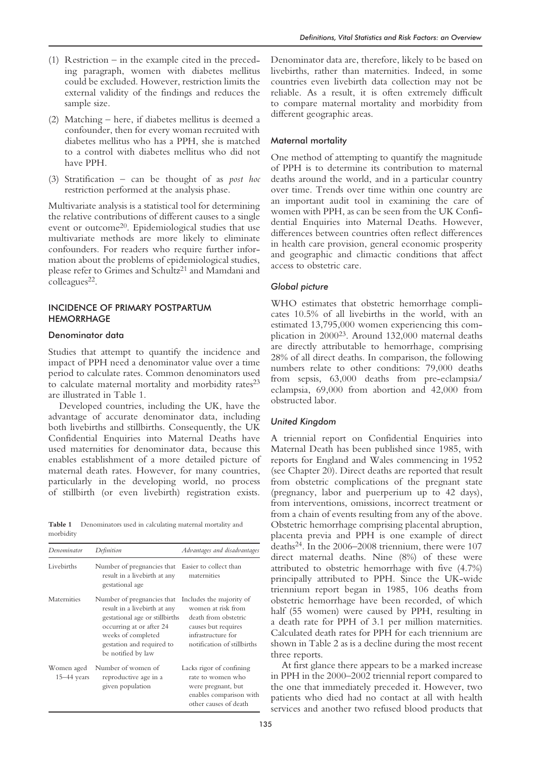- (1) Restriction in the example cited in the preceding paragraph, women with diabetes mellitus could be excluded. However, restriction limits the external validity of the findings and reduces the sample size.
- (2) Matching here, if diabetes mellitus is deemed a confounder, then for every woman recruited with diabetes mellitus who has a PPH, she is matched to a control with diabetes mellitus who did not have PPH.
- (3) Stratification can be thought of as *post hoc* restriction performed at the analysis phase.

Multivariate analysis is a statistical tool for determining the relative contributions of different causes to a single event or outcome20. Epidemiological studies that use multivariate methods are more likely to eliminate confounders. For readers who require further information about the problems of epidemiological studies, please refer to Grimes and Schultz<sup>21</sup> and Mamdani and colleagues<sup>22</sup>.

## INCIDENCE OF PRIMARY POSTPARTUM **HEMORRHAGE**

## Denominator data

Studies that attempt to quantify the incidence and impact of PPH need a denominator value over a time period to calculate rates. Common denominators used to calculate maternal mortality and morbidity rates<sup>23</sup> are illustrated in Table 1.

Developed countries, including the UK, have the advantage of accurate denominator data, including both livebirths and stillbirths. Consequently, the UK Confidential Enquiries into Maternal Deaths have used maternities for denominator data, because this enables establishment of a more detailed picture of maternal death rates. However, for many countries, particularly in the developing world, no process of stillbirth (or even livebirth) registration exists.

**Table 1** Denominators used in calculating maternal mortality and morbidity

| Denominator                   | Definition                                                                                                                                                                                        | Advantages and disadvantages                                                                                                                       |
|-------------------------------|---------------------------------------------------------------------------------------------------------------------------------------------------------------------------------------------------|----------------------------------------------------------------------------------------------------------------------------------------------------|
| Livebirths                    | Number of pregnancies that Easier to collect than<br>result in a livebirth at any<br>gestational age                                                                                              | maternities                                                                                                                                        |
| Maternities                   | Number of pregnancies that<br>result in a livebirth at any<br>gestational age or stillbirths<br>occurring at or after 24<br>weeks of completed<br>gestation and required to<br>be notified by law | Includes the majority of<br>women at risk from<br>death from obstetric<br>causes but requires<br>infrastructure for<br>notification of stillbirths |
| Women aged<br>$15 - 44$ years | Number of women of<br>reproductive age in a<br>given population                                                                                                                                   | Lacks rigor of confining<br>rate to women who<br>were pregnant, but<br>enables comparison with<br>other causes of death                            |

Denominator data are, therefore, likely to be based on livebirths, rather than maternities. Indeed, in some countries even livebirth data collection may not be reliable. As a result, it is often extremely difficult to compare maternal mortality and morbidity from different geographic areas.

## Maternal mortality

One method of attempting to quantify the magnitude of PPH is to determine its contribution to maternal deaths around the world, and in a particular country over time. Trends over time within one country are an important audit tool in examining the care of women with PPH, as can be seen from the UK Confidential Enquiries into Maternal Deaths. However, differences between countries often reflect differences in health care provision, general economic prosperity and geographic and climactic conditions that affect access to obstetric care.

## *Global picture*

WHO estimates that obstetric hemorrhage complicates 10.5% of all livebirths in the world, with an estimated 13,795,000 women experiencing this complication in 200023. Around 132,000 maternal deaths are directly attributable to hemorrhage, comprising 28% of all direct deaths. In comparison, the following numbers relate to other conditions: 79,000 deaths from sepsis, 63,000 deaths from pre-eclampsia/ eclampsia, 69,000 from abortion and 42,000 from obstructed labor.

## *United Kingdom*

A triennial report on Confidential Enquiries into Maternal Death has been published since 1985, with reports for England and Wales commencing in 1952 (see Chapter 20). Direct deaths are reported that result from obstetric complications of the pregnant state (pregnancy, labor and puerperium up to 42 days), from interventions, omissions, incorrect treatment or from a chain of events resulting from any of the above. Obstetric hemorrhage comprising placental abruption, placenta previa and PPH is one example of direct deaths24. In the 2006–2008 triennium, there were 107 direct maternal deaths. Nine (8%) of these were attributed to obstetric hemorrhage with five (4.7%) principally attributed to PPH. Since the UK-wide triennium report began in 1985, 106 deaths from obstetric hemorrhage have been recorded, of which half (55 women) were caused by PPH, resulting in a death rate for PPH of 3.1 per million maternities. Calculated death rates for PPH for each triennium are shown in Table 2 as is a decline during the most recent three reports.

At first glance there appears to be a marked increase in PPH in the 2000–2002 triennial report compared to the one that immediately preceded it. However, two patients who died had no contact at all with health services and another two refused blood products that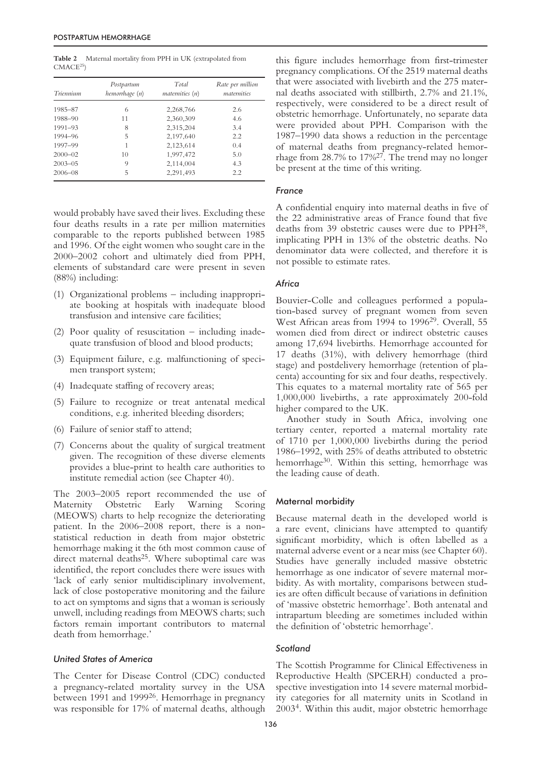**Table 2** Maternal mortality from PPH in UK (extrapolated from  $CMACE<sup>25</sup>$ 

| Triennium   | Postpartum<br>hemorrhage (n) | Total<br>maternities (n) | Rate per million<br>maternities |
|-------------|------------------------------|--------------------------|---------------------------------|
| 1985-87     | 6                            | 2,268,766                | 2.6                             |
| 1988-90     | 11                           | 2,360,309                | 4.6                             |
| $1991 - 93$ | 8                            | 2,315,204                | 3.4                             |
| 1994-96     | 5                            | 2,197,640                | 2.2                             |
| 1997-99     | 1                            | 2,123,614                | 0.4                             |
| $2000 - 02$ | 10                           | 1,997,472                | 5.0                             |
| $2003 - 05$ | 9                            | 2,114,004                | 4.3                             |
| $2006 - 08$ | 5                            | 2,291,493                | 2.2                             |

would probably have saved their lives. Excluding these four deaths results in a rate per million maternities comparable to the reports published between 1985 and 1996. Of the eight women who sought care in the 2000–2002 cohort and ultimately died from PPH, elements of substandard care were present in seven (88%) including:

- (1) Organizational problems including inappropriate booking at hospitals with inadequate blood transfusion and intensive care facilities;
- (2) Poor quality of resuscitation including inadequate transfusion of blood and blood products;
- (3) Equipment failure, e.g. malfunctioning of specimen transport system;
- (4) Inadequate staffing of recovery areas;
- (5) Failure to recognize or treat antenatal medical conditions, e.g. inherited bleeding disorders;
- (6) Failure of senior staff to attend;
- (7) Concerns about the quality of surgical treatment given. The recognition of these diverse elements provides a blue-print to health care authorities to institute remedial action (see Chapter 40).

The 2003–2005 report recommended the use of Maternity Obstetric Early Warning Scoring (MEOWS) charts to help recognize the deteriorating patient. In the 2006–2008 report, there is a nonstatistical reduction in death from major obstetric hemorrhage making it the 6th most common cause of direct maternal deaths<sup>25</sup>. Where suboptimal care was identified, the report concludes there were issues with 'lack of early senior multidisciplinary involvement, lack of close postoperative monitoring and the failure to act on symptoms and signs that a woman is seriously unwell, including readings from MEOWS charts; such factors remain important contributors to maternal death from hemorrhage.'

#### *United States of America*

The Center for Disease Control (CDC) conducted a pregnancy-related mortality survey in the USA between 1991 and 199926. Hemorrhage in pregnancy was responsible for 17% of maternal deaths, although this figure includes hemorrhage from first-trimester pregnancy complications. Of the 2519 maternal deaths that were associated with livebirth and the 275 maternal deaths associated with stillbirth, 2.7% and 21.1%, respectively, were considered to be a direct result of obstetric hemorrhage. Unfortunately, no separate data were provided about PPH. Comparison with the 1987–1990 data shows a reduction in the percentage of maternal deaths from pregnancy-related hemorrhage from 28.7% to 17%27. The trend may no longer be present at the time of this writing.

## *France*

A confidential enquiry into maternal deaths in five of the 22 administrative areas of France found that five deaths from 39 obstetric causes were due to PPH28, implicating PPH in 13% of the obstetric deaths. No denominator data were collected, and therefore it is not possible to estimate rates.

## *Africa*

Bouvier-Colle and colleagues performed a population-based survey of pregnant women from seven West African areas from 1994 to 199629. Overall, 55 women died from direct or indirect obstetric causes among 17,694 livebirths. Hemorrhage accounted for 17 deaths (31%), with delivery hemorrhage (third stage) and postdelivery hemorrhage (retention of placenta) accounting for six and four deaths, respectively. This equates to a maternal mortality rate of 565 per 1,000,000 livebirths, a rate approximately 200-fold higher compared to the UK.

Another study in South Africa, involving one tertiary center, reported a maternal mortality rate of 1710 per 1,000,000 livebirths during the period 1986–1992, with 25% of deaths attributed to obstetric hemorrhage<sup>30</sup>. Within this setting, hemorrhage was the leading cause of death.

## Maternal morbidity

Because maternal death in the developed world is a rare event, clinicians have attempted to quantify significant morbidity, which is often labelled as a maternal adverse event or a near miss (see Chapter 60). Studies have generally included massive obstetric hemorrhage as one indicator of severe maternal morbidity. As with mortality, comparisons between studies are often difficult because of variations in definition of 'massive obstetric hemorrhage'. Both antenatal and intrapartum bleeding are sometimes included within the definition of 'obstetric hemorrhage'.

#### *Scotland*

The Scottish Programme for Clinical Effectiveness in Reproductive Health (SPCERH) conducted a prospective investigation into 14 severe maternal morbidity categories for all maternity units in Scotland in 20034. Within this audit, major obstetric hemorrhage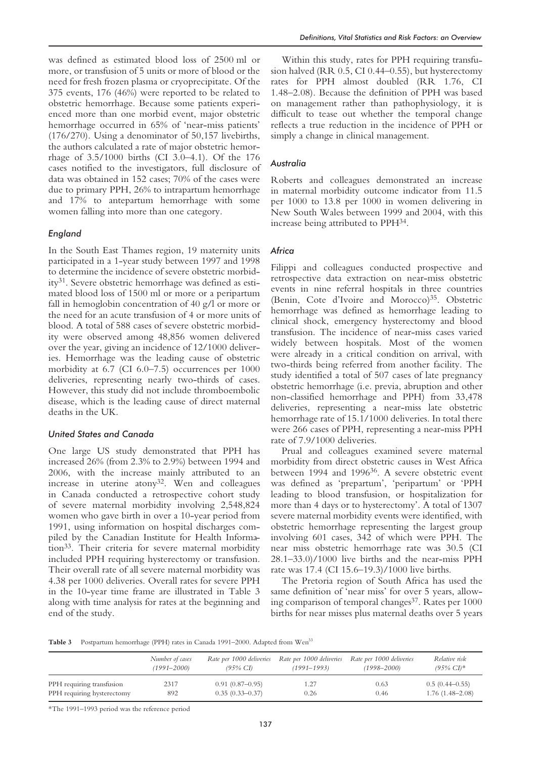was defined as estimated blood loss of 2500 ml or more, or transfusion of 5 units or more of blood or the need for fresh frozen plasma or cryoprecipitate. Of the 375 events, 176 (46%) were reported to be related to obstetric hemorrhage. Because some patients experienced more than one morbid event, major obstetric hemorrhage occurred in 65% of 'near-miss patients' (176/270). Using a denominator of 50,157 livebirths, the authors calculated a rate of major obstetric hemorrhage of 3.5/1000 births (CI 3.0–4.1). Of the 176 cases notified to the investigators, full disclosure of data was obtained in 152 cases; 70% of the cases were due to primary PPH, 26% to intrapartum hemorrhage and 17% to antepartum hemorrhage with some women falling into more than one category.

## *England*

In the South East Thames region, 19 maternity units participated in a 1-year study between 1997 and 1998 to determine the incidence of severe obstetric morbidity31. Severe obstetric hemorrhage was defined as estimated blood loss of 1500 ml or more or a peripartum fall in hemoglobin concentration of 40 g/l or more or the need for an acute transfusion of 4 or more units of blood. A total of 588 cases of severe obstetric morbidity were observed among 48,856 women delivered over the year, giving an incidence of 12/1000 deliveries. Hemorrhage was the leading cause of obstetric morbidity at 6.7 (CI 6.0–7.5) occurrences per 1000 deliveries, representing nearly two-thirds of cases. However, this study did not include thromboembolic disease, which is the leading cause of direct maternal deaths in the UK.

## *United States and Canada*

One large US study demonstrated that PPH has increased 26% (from 2.3% to 2.9%) between 1994 and 2006, with the increase mainly attributed to an increase in uterine atony<sup>32</sup>. Wen and colleagues in Canada conducted a retrospective cohort study of severe maternal morbidity involving 2,548,824 women who gave birth in over a 10-year period from 1991, using information on hospital discharges compiled by the Canadian Institute for Health Information33. Their criteria for severe maternal morbidity included PPH requiring hysterectomy or transfusion. Their overall rate of all severe maternal morbidity was 4.38 per 1000 deliveries. Overall rates for severe PPH in the 10-year time frame are illustrated in Table 3 along with time analysis for rates at the beginning and end of the study.

Within this study, rates for PPH requiring transfusion halved (RR 0.5, CI 0.44–0.55), but hysterectomy rates for PPH almost doubled (RR 1.76, CI 1.48–2.08). Because the definition of PPH was based on management rather than pathophysiology, it is difficult to tease out whether the temporal change reflects a true reduction in the incidence of PPH or simply a change in clinical management.

# *Australia*

Roberts and colleagues demonstrated an increase in maternal morbidity outcome indicator from 11.5 per 1000 to 13.8 per 1000 in women delivering in New South Wales between 1999 and 2004, with this increase being attributed to PPH34.

# *Africa*

Filippi and colleagues conducted prospective and retrospective data extraction on near-miss obstetric events in nine referral hospitals in three countries (Benin, Cote d'Ivoire and Morocco)35. Obstetric hemorrhage was defined as hemorrhage leading to clinical shock, emergency hysterectomy and blood transfusion. The incidence of near-miss cases varied widely between hospitals. Most of the women were already in a critical condition on arrival, with two-thirds being referred from another facility. The study identified a total of 507 cases of late pregnancy obstetric hemorrhage (i.e. previa, abruption and other non-classified hemorrhage and PPH) from 33,478 deliveries, representing a near-miss late obstetric hemorrhage rate of 15.1/1000 deliveries. In total there were 266 cases of PPH, representing a near-miss PPH rate of 7.9/1000 deliveries.

Prual and colleagues examined severe maternal morbidity from direct obstetric causes in West Africa between 1994 and 1996<sup>36</sup>. A severe obstetric event was defined as 'prepartum', 'peripartum' or 'PPH leading to blood transfusion, or hospitalization for more than 4 days or to hysterectomy'. A total of 1307 severe maternal morbidity events were identified, with obstetric hemorrhage representing the largest group involving 601 cases, 342 of which were PPH. The near miss obstetric hemorrhage rate was 30.5 (CI 28.1–33.0)/1000 live births and the near-miss PPH rate was 17.4 (CI 15.6–19.3)/1000 live births.

The Pretoria region of South Africa has used the same definition of 'near miss' for over 5 years, allowing comparison of temporal changes $37$ . Rates per 1000 births for near misses plus maternal deaths over 5 years

Table 3 Postpartum hemorrhage (PPH) rates in Canada 1991–2000. Adapted from Wen<sup>33</sup>

|                            | Number of cases | Rate per 1000 deliveries | Rate per 1000 deliveries | Rate per 1000 deliveries | Relative risk         |
|----------------------------|-----------------|--------------------------|--------------------------|--------------------------|-----------------------|
|                            | $(1991 - 2000)$ | $(95\% \text{ CI})$      | $(1991 - 1993)$          | $(1998 - 2000)$          | $(95\% \text{ CI})^*$ |
| PPH requiring transfusion  | 2317            | $0.91(0.87-0.95)$        | 1.27                     | 0.63                     | $0.5(0.44-0.55)$      |
| PPH requiring hysterectomy | 892             | $0.35(0.33 - 0.37)$      | 0.26                     | 0.46                     | $1.76(1.48 - 2.08)$   |

\*The 1991–1993 period was the reference period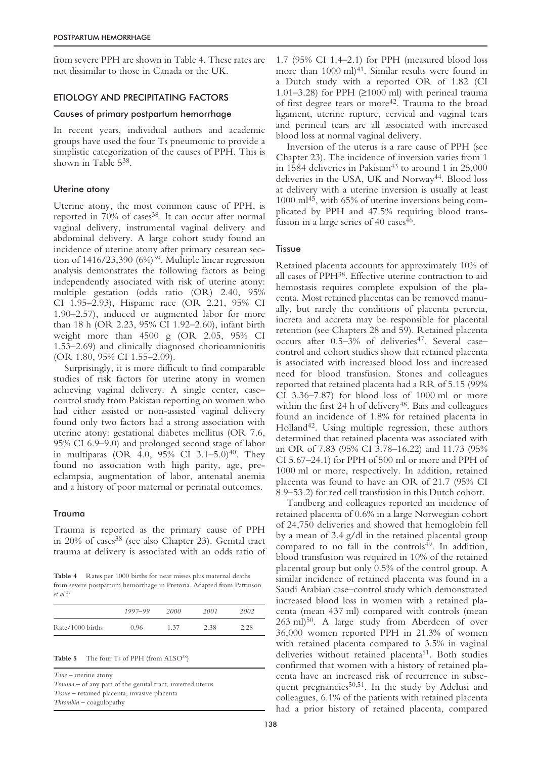from severe PPH are shown in Table 4. These rates are not dissimilar to those in Canada or the UK.

## ETIOLOGY AND PRECIPITATING FACTORS

## Causes of primary postpartum hemorrhage

In recent years, individual authors and academic groups have used the four Ts pneumonic to provide a simplistic categorization of the causes of PPH. This is shown in Table 538.

# Uterine atony

Uterine atony, the most common cause of PPH, is reported in 70% of cases<sup>38</sup>. It can occur after normal vaginal delivery, instrumental vaginal delivery and abdominal delivery. A large cohort study found an incidence of uterine atony after primary cesarean section of  $1416/23,390$  (6%)<sup>39</sup>. Multiple linear regression analysis demonstrates the following factors as being independently associated with risk of uterine atony: multiple gestation (odds ratio (OR) 2.40, 95% CI 1.95–2.93), Hispanic race (OR 2.21, 95% CI 1.90–2.57), induced or augmented labor for more than 18 h (OR 2.23, 95% CI 1.92–2.60), infant birth weight more than 4500 g (OR 2.05, 95% CI 1.53–2.69) and clinically diagnosed chorioamnionitis (OR 1.80, 95% CI 1.55–2.09).

Surprisingly, it is more difficult to find comparable studies of risk factors for uterine atony in women achieving vaginal delivery. A single center, case– control study from Pakistan reporting on women who had either assisted or non-assisted vaginal delivery found only two factors had a strong association with uterine atony: gestational diabetes mellitus (OR 7.6, 95% CI 6.9–9.0) and prolonged second stage of labor in multiparas (OR 4.0, 95% CI 3.1–5.0)<sup>40</sup>. They found no association with high parity, age, preeclampsia, augmentation of labor, antenatal anemia and a history of poor maternal or perinatal outcomes.

# Trauma

Trauma is reported as the primary cause of PPH in 20% of cases<sup>38</sup> (see also Chapter 23). Genital tract trauma at delivery is associated with an odds ratio of

Table 4 Rates per 1000 births for near misses plus maternal deaths from severe postpartum hemorrhage in Pretoria. Adapted from Pattinson *et al*. 37

|                  | 1997–99 | 2000 | 2001 | 2002 |
|------------------|---------|------|------|------|
| Rate/1000 births | 0.96    | 1.37 | 2.38 | 2.28 |

Table 5 The four Ts of PPH (from ALSO<sup>38</sup>)

*Tone* – uterine atony *Trauma* – of any part of the genital tract, inverted uterus *Tissue* – retained placenta, invasive placenta *Thrombin* – coagulopathy

1.7 (95% CI 1.4–2.1) for PPH (measured blood loss more than  $1000$  ml $)^{41}$ . Similar results were found in a Dutch study with a reported OR of 1.82 (CI 1.01–3.28) for PPH (≥1000 ml) with perineal trauma of first degree tears or more42. Trauma to the broad ligament, uterine rupture, cervical and vaginal tears and perineal tears are all associated with increased blood loss at normal vaginal delivery.

Inversion of the uterus is a rare cause of PPH (see Chapter 23). The incidence of inversion varies from 1 in 1584 deliveries in Pakistan<sup>43</sup> to around 1 in  $25,000$ deliveries in the USA, UK and Norway<sup>44</sup>. Blood loss at delivery with a uterine inversion is usually at least 1000 ml45, with 65% of uterine inversions being complicated by PPH and 47.5% requiring blood transfusion in a large series of  $40 \text{ cases}^{46}$ .

# **Tissue**

Retained placenta accounts for approximately 10% of all cases of PPH38. Effective uterine contraction to aid hemostasis requires complete expulsion of the placenta. Most retained placentas can be removed manually, but rarely the conditions of placenta percreta, increta and accreta may be responsible for placental retention (see Chapters 28 and 59). Retained placenta occurs after  $0.5-3\%$  of deliveries<sup>47</sup>. Several casecontrol and cohort studies show that retained placenta is associated with increased blood loss and increased need for blood transfusion. Stones and colleagues reported that retained placenta had a RR of 5.15 (99% CI 3.36–7.87) for blood loss of 1000 ml or more within the first  $24 h$  of delivery<sup>48</sup>. Bais and colleagues found an incidence of 1.8% for retained placenta in Holland42. Using multiple regression, these authors determined that retained placenta was associated with an OR of 7.83 (95% CI 3.78–16.22) and 11.73 (95% CI 5.67–24.1) for PPH of 500 ml or more and PPH of 1000 ml or more, respectively. In addition, retained placenta was found to have an OR of 21.7 (95% CI 8.9–53.2) for red cell transfusion in this Dutch cohort.

Tandberg and colleagues reported an incidence of retained placenta of 0.6% in a large Norwegian cohort of 24,750 deliveries and showed that hemoglobin fell by a mean of 3.4 g/dl in the retained placental group compared to no fall in the controls $4^{\overline{9}}$ . In addition, blood transfusion was required in 10% of the retained placental group but only 0.5% of the control group. A similar incidence of retained placenta was found in a Saudi Arabian case–control study which demonstrated increased blood loss in women with a retained placenta (mean 437 ml) compared with controls (mean 263 ml)50. A large study from Aberdeen of over 36,000 women reported PPH in 21.3% of women with retained placenta compared to 3.5% in vaginal deliveries without retained placenta<sup>51</sup>. Both studies confirmed that women with a history of retained placenta have an increased risk of recurrence in subsequent pregnancies<sup>50,51</sup>. In the study by Adelusi and colleagues, 6.1% of the patients with retained placenta had a prior history of retained placenta, compared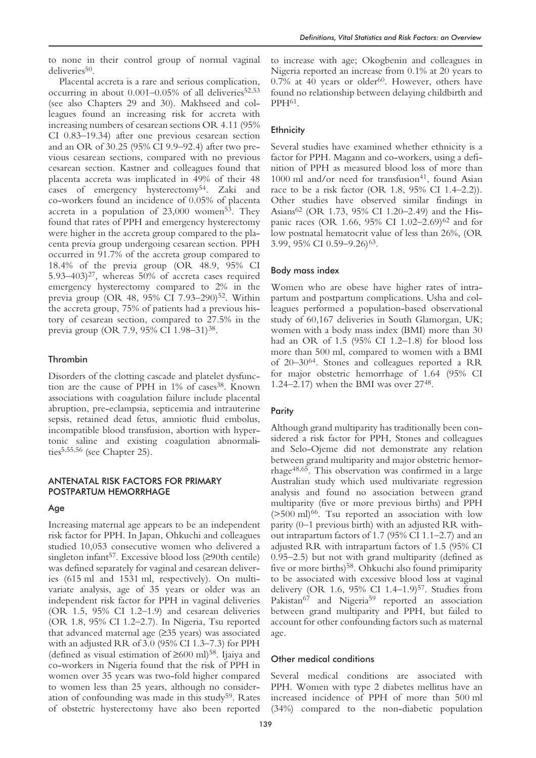to none in their control group of normal vaginal deliveries<sup>50</sup>.

Placental accreta is a rare and serious complication, occurring in about  $0.001-0.05\%$  of all deliveries<sup>52,53</sup> (see also Chapters 29 and 30). Makhseed and colleagues found an increasing risk for accreta with increasing numbers of cesarean sections OR 4.11 (95% CI 0.83–19.34) after one previous cesarean section and an OR of 30.25 (95% CI 9.9–92.4) after two previous cesarean sections, compared with no previous cesarean section. Kastner and colleagues found that placenta accreta was implicated in 49% of their 48 cases of emergency hysterectomy54. Zaki and co-workers found an incidence of 0.05% of placenta accreta in a population of  $23,000$  women<sup>53</sup>. They found that rates of PPH and emergency hysterectomy were higher in the accreta group compared to the placenta previa group undergoing cesarean section. PPH occurred in 91.7% of the accreta group compared to 18.4% of the previa group (OR 48.9, 95% CI 5.93–403) $27$ , whereas 50% of accreta cases required emergency hysterectomy compared to 2% in the previa group (OR 48, 95% CI 7.93-290)<sup>52</sup>. Within the accreta group, 75% of patients had a previous history of cesarean section, compared to 27.5% in the previa group (OR 7.9, 95% CI 1.98–31)38.

## Thrombin

Disorders of the clotting cascade and platelet dysfunction are the cause of PPH in 1% of cases<sup>38</sup>. Known associations with coagulation failure include placental abruption, pre-eclampsia, septicemia and intrauterine sepsis, retained dead fetus, amniotic fluid embolus, incompatible blood transfusion, abortion with hypertonic saline and existing coagulation abnormalities5,55,56 (see Chapter 25).

## ANTENATAL RISK FACTORS FOR PRIMARY POSTPARTUM HEMORRHAGE

#### Age

Increasing maternal age appears to be an independent risk factor for PPH. In Japan, Ohkuchi and colleagues studied 10,053 consecutive women who delivered a singleton infant<sup>57</sup>. Excessive blood loss  $(≥90th$  centile) was defined separately for vaginal and cesarean deliveries (615 ml and 1531 ml, respectively). On multivariate analysis, age of 35 years or older was an independent risk factor for PPH in vaginal deliveries (OR 1.5, 95% CI 1.2–1.9) and cesarean deliveries (OR 1.8, 95% CI 1.2–2.7). In Nigeria, Tsu reported that advanced maternal age (≥35 years) was associated with an adjusted RR of 3.0 (95% CI 1.3–7.3) for PPH (defined as visual estimation of  $\geq 600$  ml)<sup>58</sup>. Ijaiya and co-workers in Nigeria found that the risk of PPH in women over 35 years was two-fold higher compared to women less than 25 years, although no consideration of confounding was made in this study<sup>59</sup>. Rates of obstetric hysterectomy have also been reported

to increase with age; Okogbenin and colleagues in Nigeria reported an increase from 0.1% at 20 years to  $0.7\%$  at 40 years or older<sup>60</sup>. However, others have found no relationship between delaying childbirth and PPH61.

## **Ethnicity**

Several studies have examined whether ethnicity is a factor for PPH. Magann and co-workers, using a definition of PPH as measured blood loss of more than  $1000$  ml and/or need for transfusion<sup>41</sup>, found Asian race to be a risk factor (OR 1.8, 95% CI 1.4–2.2)). Other studies have observed similar findings in Asians62 (OR 1.73, 95% CI 1.20–2.49) and the Hispanic races (OR 1.66, 95% CI 1.02-2.69)<sup>62</sup> and for low postnatal hematocrit value of less than 26%, (OR 3.99, 95% CI 0.59–9.26)63.

#### Body mass index

Women who are obese have higher rates of intrapartum and postpartum complications. Usha and colleagues performed a population-based observational study of 60,167 deliveries in South Glamorgan, UK; women with a body mass index (BMI) more than 30 had an OR of 1.5 (95% CI 1.2–1.8) for blood loss more than 500 ml, compared to women with a BMI of 20–3064. Stones and colleagues reported a RR for major obstetric hemorrhage of 1.64 (95% CI 1.24–2.17) when the BMI was over 2748.

#### **Parity**

Although grand multiparity has traditionally been considered a risk factor for PPH, Stones and colleagues and Selo-Ojeme did not demonstrate any relation between grand multiparity and major obstetric hemorrhage48,65. This observation was confirmed in a large Australian study which used multivariate regression analysis and found no association between grand multiparity (five or more previous births) and PPH  $($ >500 ml $)$ <sup>66</sup>. Tsu reported an association with low parity (0–1 previous birth) with an adjusted RR without intrapartum factors of 1.7 (95% CI 1.1–2.7) and an adjusted RR with intrapartum factors of 1.5 (95% CI 0.95–2.5) but not with grand multiparity (defined as five or more births)<sup>58</sup>. Ohkuchi also found primiparity to be associated with excessive blood loss at vaginal delivery (OR 1.6, 95% CI 1.4-1.9)<sup>57</sup>. Studies from Pakistan<sup>67</sup> and Nigeria<sup>59</sup> reported an association between grand multiparity and PPH, but failed to account for other confounding factors such as maternal age.

#### Other medical conditions

Several medical conditions are associated with PPH. Women with type 2 diabetes mellitus have an increased incidence of PPH of more than 500 ml (34%) compared to the non-diabetic population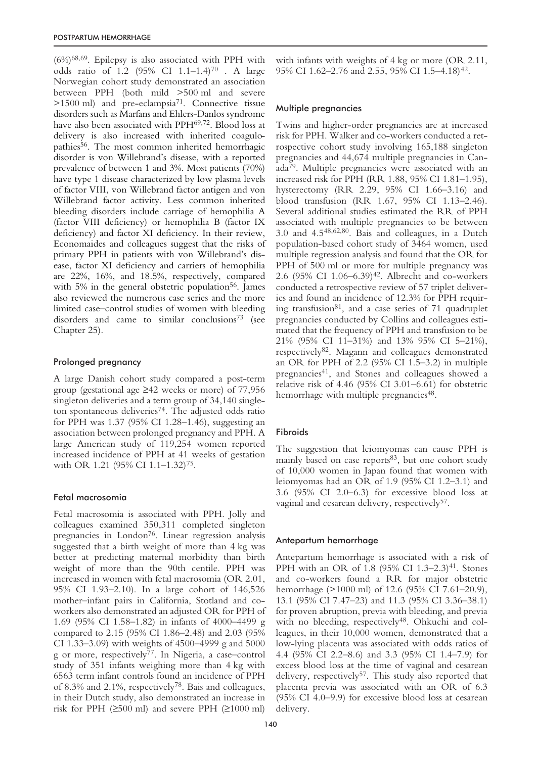(6%)68,69. Epilepsy is also associated with PPH with odds ratio of 1.2 (95% CI 1.1–1.4)70 . A large Norwegian cohort study demonstrated an association between PPH (both mild >500 ml and severe  $>1500$  ml) and pre-eclampsia<sup>71</sup>. Connective tissue disorders such as Marfans and Ehlers-Danlos syndrome have also been associated with PPH<sup>69,72</sup>. Blood loss at delivery is also increased with inherited coagulopathies<sup>56</sup>. The most common inherited hemorrhagic disorder is von Willebrand's disease, with a reported prevalence of between 1 and 3%. Most patients (70%) have type 1 disease characterized by low plasma levels of factor VIII, von Willebrand factor antigen and von Willebrand factor activity. Less common inherited bleeding disorders include carriage of hemophilia A (factor VIII deficiency) or hemophilia B (factor IX deficiency) and factor XI deficiency. In their review, Economaides and colleagues suggest that the risks of primary PPH in patients with von Willebrand's disease, factor XI deficiency and carriers of hemophilia are 22%, 16%, and 18.5%, respectively, compared with  $5\%$  in the general obstetric population<sup>56</sup>. James also reviewed the numerous case series and the more limited case–control studies of women with bleeding disorders and came to similar conclusions<sup>73</sup> (see Chapter 25).

#### Prolonged pregnancy

A large Danish cohort study compared a post-term group (gestational age ≥42 weeks or more) of 77,956 singleton deliveries and a term group of 34,140 singleton spontaneous deliveries<sup>74</sup>. The adjusted odds ratio for PPH was 1.37 (95% CI 1.28–1.46), suggesting an association between prolonged pregnancy and PPH. A large American study of 119,254 women reported increased incidence of PPH at 41 weeks of gestation with OR 1.21 (95% CI 1.1–1.32)<sup>75</sup>.

#### Fetal macrosomia

Fetal macrosomia is associated with PPH. Jolly and colleagues examined 350,311 completed singleton pregnancies in London<sup>76</sup>. Linear regression analysis suggested that a birth weight of more than 4 kg was better at predicting maternal morbidity than birth weight of more than the 90th centile. PPH was increased in women with fetal macrosomia (OR 2.01, 95% CI 1.93–2.10). In a large cohort of 146,526 mother–infant pairs in California, Stotland and coworkers also demonstrated an adjusted OR for PPH of 1.69 (95% CI 1.58–1.82) in infants of 4000–4499 g compared to 2.15 (95% CI 1.86–2.48) and 2.03 (95% CI 1.33–3.09) with weights of 4500–4999 g and 5000 g or more, respectively77. In Nigeria, a case–control study of 351 infants weighing more than 4 kg with 6563 term infant controls found an incidence of PPH of 8.3% and 2.1%, respectively78. Bais and colleagues, in their Dutch study, also demonstrated an increase in risk for PPH  $(≥500 \text{ ml})$  and severe PPH  $(≥1000 \text{ ml})$ 

#### Multiple pregnancies

Twins and higher-order pregnancies are at increased risk for PPH. Walker and co-workers conducted a retrospective cohort study involving 165,188 singleton pregnancies and 44,674 multiple pregnancies in Canada79. Multiple pregnancies were associated with an increased risk for PPH (RR 1.88, 95% CI 1.81–1.95), hysterectomy (RR 2.29, 95% CI 1.66–3.16) and blood transfusion (RR 1.67, 95% CI 1.13–2.46). Several additional studies estimated the RR of PPH associated with multiple pregnancies to be between 3.0 and 4.548,62,80. Bais and colleagues, in a Dutch population-based cohort study of 3464 women, used multiple regression analysis and found that the OR for PPH of 500 ml or more for multiple pregnancy was 2.6 (95% CI 1.06–6.39)42. Albrecht and co-workers conducted a retrospective review of 57 triplet deliveries and found an incidence of 12.3% for PPH requiring transfusion81, and a case series of 71 quadruplet pregnancies conducted by Collins and colleagues estimated that the frequency of PPH and transfusion to be 21% (95% CI 11–31%) and 13% 95% CI 5–21%), respectively82. Magann and colleagues demonstrated an OR for PPH of 2.2 (95% CI 1.5–3.2) in multiple pregnancies<sup>41</sup>, and Stones and colleagues showed a relative risk of 4.46 (95% CI 3.01–6.61) for obstetric hemorrhage with multiple pregnancies<sup>48</sup>.

#### Fibroids

The suggestion that leiomyomas can cause PPH is mainly based on case reports<sup>83</sup>, but one cohort study of 10,000 women in Japan found that women with leiomyomas had an OR of 1.9 (95% CI 1.2–3.1) and 3.6 (95% CI 2.0–6.3) for excessive blood loss at vaginal and cesarean delivery, respectively<sup>57</sup>.

#### Antepartum hemorrhage

Antepartum hemorrhage is associated with a risk of PPH with an OR of 1.8 (95% CI 1.3–2.3)<sup>41</sup>. Stones and co-workers found a RR for major obstetric hemorrhage (>1000 ml) of 12.6 (95% CI 7.61–20.9), 13.1 (95% CI 7.47–23) and 11.3 (95% CI 3.36–38.1) for proven abruption, previa with bleeding, and previa with no bleeding, respectively<sup>48</sup>. Ohkuchi and colleagues, in their 10,000 women, demonstrated that a low-lying placenta was associated with odds ratios of 4.4 (95% CI 2.2–8.6) and 3.3 (95% CI 1.4–7.9) for excess blood loss at the time of vaginal and cesarean delivery, respectively<sup>57</sup>. This study also reported that placenta previa was associated with an OR of 6.3 (95% CI 4.0–9.9) for excessive blood loss at cesarean delivery.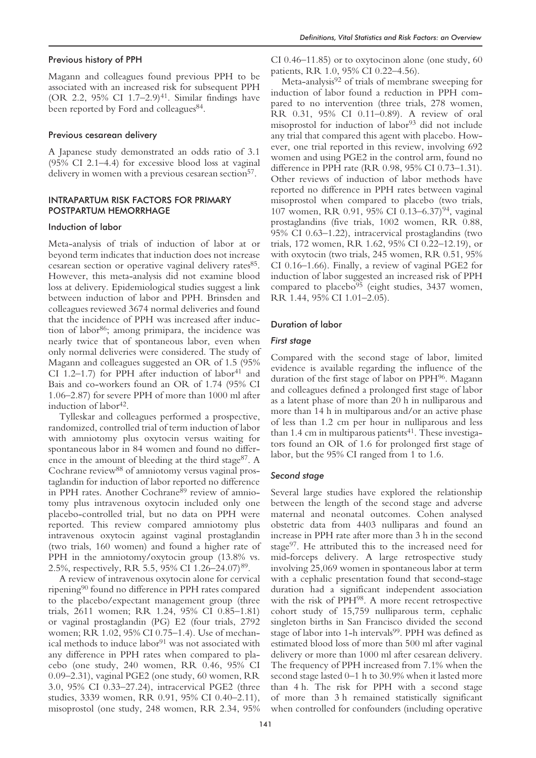## Previous history of PPH

Magann and colleagues found previous PPH to be associated with an increased risk for subsequent PPH (OR 2.2,  $95\%$  CI 1.7–2.9)<sup>41</sup>. Similar findings have been reported by Ford and colleagues<sup>84</sup>.

#### Previous cesarean delivery

A Japanese study demonstrated an odds ratio of 3.1 (95% CI 2.1–4.4) for excessive blood loss at vaginal delivery in women with a previous cesarean section<sup>57</sup>.

## INTRAPARTUM RISK FACTORS FOR PRIMARY POSTPARTUM HEMORRHAGE

#### Induction of labor

Meta-analysis of trials of induction of labor at or beyond term indicates that induction does not increase cesarean section or operative vaginal delivery rates<sup>85</sup>. However, this meta-analysis did not examine blood loss at delivery. Epidemiological studies suggest a link between induction of labor and PPH. Brinsden and colleagues reviewed 3674 normal deliveries and found that the incidence of PPH was increased after induction of labor<sup>86</sup>; among primipara, the incidence was nearly twice that of spontaneous labor, even when only normal deliveries were considered. The study of Magann and colleagues suggested an OR of 1.5 (95% CI 1.2–1.7) for PPH after induction of labor<sup>41</sup> and Bais and co-workers found an OR of 1.74 (95% CI 1.06–2.87) for severe PPH of more than 1000 ml after induction of labor  $42$ .

Tylleskar and colleagues performed a prospective, randomized, controlled trial of term induction of labor with amniotomy plus oxytocin versus waiting for spontaneous labor in 84 women and found no difference in the amount of bleeding at the third stage<sup>87</sup>. A Cochrane review<sup>88</sup> of amniotomy versus vaginal prostaglandin for induction of labor reported no difference in PPH rates. Another Cochrane<sup>89</sup> review of amniotomy plus intravenous oxytocin included only one placebo-controlled trial, but no data on PPH were reported. This review compared amniotomy plus intravenous oxytocin against vaginal prostaglandin (two trials, 160 women) and found a higher rate of PPH in the amniotomy/oxytocin group (13.8% vs. 2.5%, respectively, RR 5.5, 95% CI 1.26–24.07)89.

A review of intravenous oxytocin alone for cervical ripening90 found no difference in PPH rates compared to the placebo/expectant management group (three trials, 2611 women; RR 1.24, 95% CI 0.85–1.81) or vaginal prostaglandin (PG) E2 (four trials, 2792 women; RR 1.02, 95% CI 0.75–1.4). Use of mechanical methods to induce labor<sup>91</sup> was not associated with any difference in PPH rates when compared to placebo (one study, 240 women, RR 0.46, 95% CI 0.09–2.31), vaginal PGE2 (one study, 60 women, RR 3.0, 95% CI 0.33–27.24), intracervical PGE2 (three studies, 3339 women, RR 0.91, 95% CI 0.40–2.11), misoprostol (one study, 248 women, RR 2.34, 95%

CI 0.46–11.85) or to oxytocinon alone (one study, 60 patients, RR 1.0, 95% CI 0.22–4.56).

Meta-analysis<sup>92</sup> of trials of membrane sweeping for induction of labor found a reduction in PPH compared to no intervention (three trials, 278 women, RR 0.31, 95% CI 0.11–0.89). A review of oral misoprostol for induction of labor<sup>93</sup> did not include any trial that compared this agent with placebo. However, one trial reported in this review, involving 692 women and using PGE2 in the control arm, found no difference in PPH rate (RR 0.98, 95% CI 0.73–1.31). Other reviews of induction of labor methods have reported no difference in PPH rates between vaginal misoprostol when compared to placebo (two trials, 107 women, RR 0.91, 95% CI 0.13–6.37)<sup>94</sup>, vaginal prostaglandins (five trials, 1002 women, RR 0.88, 95% CI 0.63–1.22), intracervical prostaglandins (two trials, 172 women, RR 1.62, 95% CI 0.22–12.19), or with oxytocin (two trials, 245 women, RR 0.51, 95% CI 0.16–1.66). Finally, a review of vaginal PGE2 for induction of labor suggested an increased risk of PPH compared to placebo $95$  (eight studies, 3437 women, RR 1.44, 95% CI 1.01–2.05).

#### Duration of labor

## *First stage*

Compared with the second stage of labor, limited evidence is available regarding the influence of the duration of the first stage of labor on PPH96. Magann and colleagues defined a prolonged first stage of labor as a latent phase of more than 20 h in nulliparous and more than 14 h in multiparous and/or an active phase of less than 1.2 cm per hour in nulliparous and less than 1.4 cm in multiparous patients $41$ . These investigators found an OR of 1.6 for prolonged first stage of labor, but the 95% CI ranged from 1 to 1.6.

#### *Second stage*

Several large studies have explored the relationship between the length of the second stage and adverse maternal and neonatal outcomes. Cohen analysed obstetric data from 4403 nulliparas and found an increase in PPH rate after more than 3 h in the second stage97. He attributed this to the increased need for mid-forceps delivery. A large retrospective study involving 25,069 women in spontaneous labor at term with a cephalic presentation found that second-stage duration had a significant independent association with the risk of PPH<sup>98</sup>. A more recent retrospective cohort study of 15,759 nulliparous term, cephalic singleton births in San Francisco divided the second stage of labor into 1-h intervals<sup>99</sup>. PPH was defined as estimated blood loss of more than 500 ml after vaginal delivery or more than 1000 ml after cesarean delivery. The frequency of PPH increased from 7.1% when the second stage lasted 0–1 h to 30.9% when it lasted more than 4 h. The risk for PPH with a second stage of more than 3 h remained statistically significant when controlled for confounders (including operative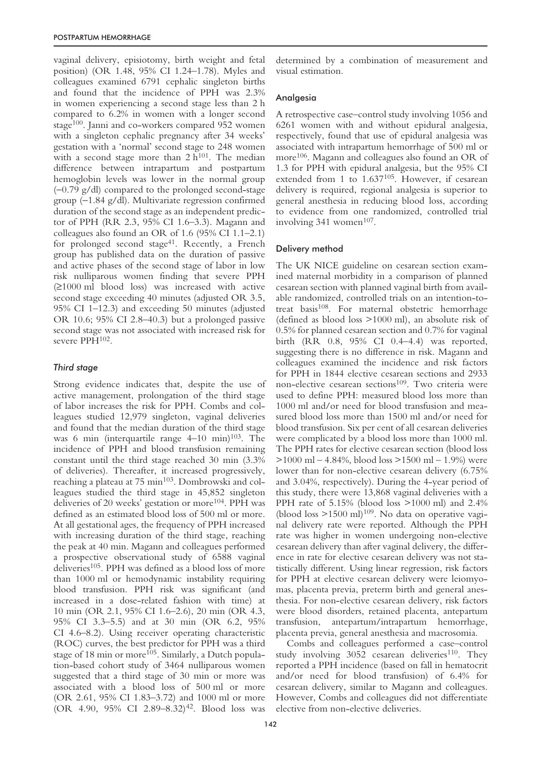vaginal delivery, episiotomy, birth weight and fetal position) (OR 1.48, 95% CI 1.24–1.78). Myles and colleagues examined 6791 cephalic singleton births and found that the incidence of PPH was 2.3% in women experiencing a second stage less than 2 h compared to 6.2% in women with a longer second stage<sup>100</sup>. Janni and co-workers compared 952 women with a singleton cephalic pregnancy after 34 weeks' gestation with a 'normal' second stage to 248 women with a second stage more than  $2 h^{101}$ . The median difference between intrapartum and postpartum hemoglobin levels was lower in the normal group (−0.79 g/dl) compared to the prolonged second-stage group (−1.84 g/dl). Multivariate regression confirmed duration of the second stage as an independent predictor of PPH (RR 2.3, 95% CI 1.6–3.3). Magann and colleagues also found an OR of 1.6 (95% CI 1.1–2.1) for prolonged second stage<sup>41</sup>. Recently, a French group has published data on the duration of passive and active phases of the second stage of labor in low risk nulliparous women finding that severe PPH (≥1000 ml blood loss) was increased with active second stage exceeding 40 minutes (adjusted OR 3.5, 95% CI 1–12.3) and exceeding 50 minutes (adjusted OR 10.6; 95% CI 2.8–40.3) but a prolonged passive second stage was not associated with increased risk for severe PPH<sup>102</sup>.

# *Third stage*

Strong evidence indicates that, despite the use of active management, prolongation of the third stage of labor increases the risk for PPH. Combs and colleagues studied 12,979 singleton, vaginal deliveries and found that the median duration of the third stage was 6 min (interquartile range  $4-10$  min)<sup>103</sup>. The incidence of PPH and blood transfusion remaining constant until the third stage reached 30 min (3.3% of deliveries). Thereafter, it increased progressively, reaching a plateau at 75 min<sup>103</sup>. Dombrowski and colleagues studied the third stage in 45,852 singleton deliveries of 20 weeks' gestation or more<sup>104</sup>. PPH was defined as an estimated blood loss of 500 ml or more. At all gestational ages, the frequency of PPH increased with increasing duration of the third stage, reaching the peak at 40 min. Magann and colleagues performed a prospective observational study of 6588 vaginal deliveries<sup>105</sup>. PPH was defined as a blood loss of more than 1000 ml or hemodynamic instability requiring blood transfusion. PPH risk was significant (and increased in a dose-related fashion with time) at 10 min (OR 2.1, 95% CI 1.6–2.6), 20 min (OR 4.3, 95% CI 3.3–5.5) and at 30 min (OR 6.2, 95% CI 4.6–8.2). Using receiver operating characteristic (ROC) curves, the best predictor for PPH was a third stage of 18 min or more<sup>105</sup>. Similarly, a Dutch population-based cohort study of 3464 nulliparous women suggested that a third stage of 30 min or more was associated with a blood loss of 500 ml or more (OR 2.61, 95% CI 1.83–3.72) and 1000 ml or more (OR 4.90, 95% CI 2.89-8.32)<sup>42</sup>. Blood loss was

determined by a combination of measurement and visual estimation.

# Analgesia

A retrospective case–control study involving 1056 and 6261 women with and without epidural analgesia, respectively, found that use of epidural analgesia was associated with intrapartum hemorrhage of 500 ml or more<sup>106</sup>. Magann and colleagues also found an OR of 1.3 for PPH with epidural analgesia, but the 95% CI extended from 1 to 1.637<sup>105</sup>. However, if cesarean delivery is required, regional analgesia is superior to general anesthesia in reducing blood loss, according to evidence from one randomized, controlled trial involving  $341$  women<sup>107</sup>.

# Delivery method

The UK NICE guideline on cesarean section examined maternal morbidity in a comparison of planned cesarean section with planned vaginal birth from available randomized, controlled trials on an intention-totreat basis108. For maternal obstetric hemorrhage (defined as blood loss >1000 ml), an absolute risk of 0.5% for planned cesarean section and 0.7% for vaginal birth (RR 0.8, 95% CI 0.4–4.4) was reported, suggesting there is no difference in risk. Magann and colleagues examined the incidence and risk factors for PPH in 1844 elective cesarean sections and 2933 non-elective cesarean sections<sup>109</sup>. Two criteria were used to define PPH: measured blood loss more than 1000 ml and/or need for blood transfusion and measured blood loss more than 1500 ml and/or need for blood transfusion. Six per cent of all cesarean deliveries were complicated by a blood loss more than 1000 ml. The PPH rates for elective cesarean section (blood loss >1000 ml – 4.84%, blood loss >1500 ml – 1.9%) were lower than for non-elective cesarean delivery (6.75% and 3.04%, respectively). During the 4-year period of this study, there were 13,868 vaginal deliveries with a PPH rate of 5.15% (blood loss >1000 ml) and 2.4% (blood loss  $>1500$  ml)<sup>109</sup>. No data on operative vaginal delivery rate were reported. Although the PPH rate was higher in women undergoing non-elective cesarean delivery than after vaginal delivery, the difference in rate for elective cesarean delivery was not statistically different. Using linear regression, risk factors for PPH at elective cesarean delivery were leiomyomas, placenta previa, preterm birth and general anesthesia. For non-elective cesarean delivery, risk factors were blood disorders, retained placenta, antepartum transfusion, antepartum/intrapartum hemorrhage, placenta previa, general anesthesia and macrosomia.

Combs and colleagues performed a case–control study involving  $3052$  cesarean deliveries<sup>110</sup>. They reported a PPH incidence (based on fall in hematocrit and/or need for blood transfusion) of 6.4% for cesarean delivery, similar to Magann and colleagues. However, Combs and colleagues did not differentiate elective from non-elective deliveries.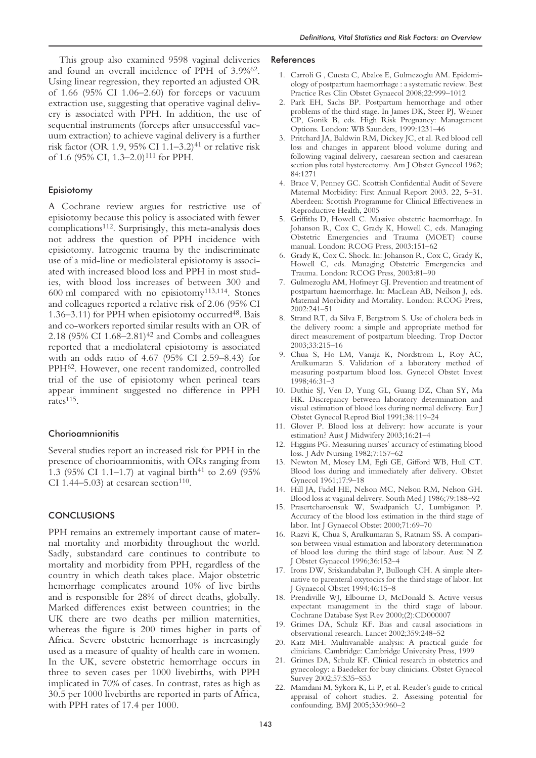This group also examined 9598 vaginal deliveries and found an overall incidence of PPH of 3.9%62. Using linear regression, they reported an adjusted OR of 1.66 (95% CI 1.06–2.60) for forceps or vacuum extraction use, suggesting that operative vaginal delivery is associated with PPH. In addition, the use of sequential instruments (forceps after unsuccessful vacuum extraction) to achieve vaginal delivery is a further risk factor (OR 1.9, 95% CI 1.1–3.2)<sup>41</sup> or relative risk of 1.6 (95% CI, 1.3–2.0)<sup>111</sup> for PPH.

## Episiotomy

A Cochrane review argues for restrictive use of episiotomy because this policy is associated with fewer complications112. Surprisingly, this meta-analysis does not address the question of PPH incidence with episiotomy. Iatrogenic trauma by the indiscriminate use of a mid-line or mediolateral episiotomy is associated with increased blood loss and PPH in most studies, with blood loss increases of between 300 and 600 ml compared with no episiotomy113,114. Stones and colleagues reported a relative risk of 2.06 (95% CI 1.36–3.11) for PPH when episiotomy occurred48. Bais and co-workers reported similar results with an OR of 2.18 (95% CI 1.68–2.81)<sup>42</sup> and Combs and colleagues reported that a mediolateral episiotomy is associated with an odds ratio of 4.67 (95% CI 2.59–8.43) for PPH62. However, one recent randomized, controlled trial of the use of episiotomy when perineal tears appear imminent suggested no difference in PPH rates<sup>115</sup>.

## Chorioamnionitis

Several studies report an increased risk for PPH in the presence of chorioamnionitis, with ORs ranging from 1.3 (95% CI 1.1–1.7) at vaginal birth<sup>41</sup> to 2.69 (95%) CI 1.44–5.03) at cesarean section<sup>110</sup>.

#### **CONCLUSIONS**

PPH remains an extremely important cause of maternal mortality and morbidity throughout the world. Sadly, substandard care continues to contribute to mortality and morbidity from PPH, regardless of the country in which death takes place. Major obstetric hemorrhage complicates around 10% of live births and is responsible for 28% of direct deaths, globally. Marked differences exist between countries; in the UK there are two deaths per million maternities, whereas the figure is 200 times higher in parts of Africa. Severe obstetric hemorrhage is increasingly used as a measure of quality of health care in women. In the UK, severe obstetric hemorrhage occurs in three to seven cases per 1000 livebirths, with PPH implicated in 70% of cases. In contrast, rates as high as 30.5 per 1000 livebirths are reported in parts of Africa, with PPH rates of 17.4 per 1000.

#### References

- 1. Carroli G , Cuesta C, Abalos E, Gulmezoglu AM. Epidemiology of postpartum haemorrhage : a systematic review. Best Practice Res Clin Obstet Gynaecol 2008;22:999–1012
- 2. Park EH, Sachs BP. Postpartum hemorrhage and other problems of the third stage. In James DK, Steer PJ, Weiner CP, Gonik B, eds. High Risk Pregnancy: Management Options. London: WB Saunders, 1999:1231–46
- 3. Pritchard JA, Baldwin RM, Dickey JC, et al. Red blood cell loss and changes in apparent blood volume during and following vaginal delivery, caesarean section and caesarean section plus total hysterectomy. Am J Obstet Gynecol 1962; 84:1271
- 4. Brace V, Penney GC. Scottish Confidential Audit of Severe Maternal Morbidity: First Annual Report 2003. 22, 5–31. Aberdeen: Scottish Programme for Clinical Effectiveness in Reproductive Health, 2005
- 5. Griffiths D, Howell C. Massive obstetric haemorrhage. In Johanson R, Cox C, Grady K, Howell C, eds. Managing Obstetric Emergencies and Trauma (MOET) course manual. London: RCOG Press, 2003:151–62
- 6. Grady K, Cox C. Shock. In: Johanson R, Cox C, Grady K, Howell C, eds. Managing Obstetric Emergencies and Trauma. London: RCOG Press, 2003:81–90
- 7. Gulmezoglu AM, Hofmeyr GJ. Prevention and treatment of postpartum haemorrhage. In: MacLean AB, Neilson J, eds. Maternal Morbidity and Mortality. London: RCOG Press, 2002:241–51
- 8. Strand RT, da Silva F, Bergstrom S. Use of cholera beds in the delivery room: a simple and appropriate method for direct measurement of postpartum bleeding. Trop Doctor 2003;33:215–16
- 9. Chua S, Ho LM, Vanaja K, Nordstrom L, Roy AC, Arulkumaran S. Validation of a laboratory method of measuring postpartum blood loss. Gynecol Obstet Invest 1998;46:31–3
- 10. Duthie SJ, Ven D, Yung GL, Guang DZ, Chan SY, Ma HK. Discrepancy between laboratory determination and visual estimation of blood loss during normal delivery. Eur J Obstet Gynecol Reprod Biol 1991;38:119–24
- 11. Glover P. Blood loss at delivery: how accurate is your estimation? Aust J Midwifery 2003;16:21–4
- 12. Higgins PG. Measuring nurses' accuracy of estimating blood loss. J Adv Nursing 1982;7:157–62
- 13. Newton M, Mosey LM, Egli GE, Gifford WB, Hull CT. Blood loss during and immediately after delivery. Obstet Gynecol 1961;17:9–18
- 14. Hill JA, Fadel HE, Nelson MC, Nelson RM, Nelson GH. Blood loss at vaginal delivery. South Med J 1986;79:188–92
- 15. Prasertcharoensuk W, Swadpanich U, Lumbiganon P. Accuracy of the blood loss estimation in the third stage of labor. Int J Gynaecol Obstet 2000;71:69–70
- 16. Razvi K, Chua S, Arulkumaran S, Ratnam SS. A comparison between visual estimation and laboratory determination of blood loss during the third stage of labour. Aust N Z J Obstet Gynaecol 1996;36:152–4
- 17. Irons DW, Sriskandabalan P, Bullough CH. A simple alternative to parenteral oxytocics for the third stage of labor. Int J Gynaecol Obstet 1994;46:15–8
- 18. Prendiville WJ, Elbourne D, McDonald S. Active versus expectant management in the third stage of labour. Cochrane Database Syst Rev 2000;(2):CD000007
- 19. Grimes DA, Schulz KF. Bias and causal associations in observational research. Lancet 2002;359:248–52
- 20. Katz MH. Multivariable analysis: A practical guide for clinicians. Cambridge: Cambridge University Press, 1999
- 21. Grimes DA, Schulz KF. Clinical research in obstetrics and gynecology: a Baedeker for busy clinicians. Obstet Gynecol Survey 2002;57:S35–S53
- 22. Mamdani M, Sykora K, Li P, et al. Reader's guide to critical appraisal of cohort studies. 2. Assessing potential for confounding. BMJ 2005;330:960–2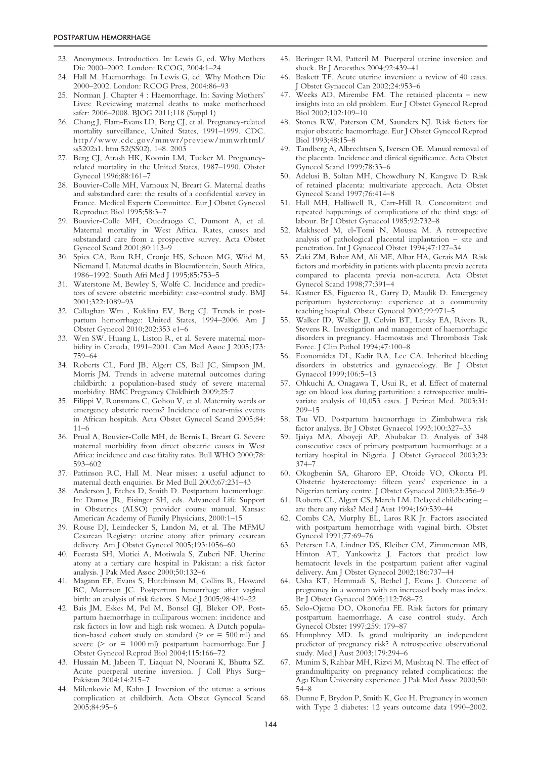- 23. Anonymous. Introduction. In: Lewis G, ed. Why Mothers Die 2000–2002. London: RCOG, 2004:1–24
- 24. Hall M. Haemorrhage. In Lewis G, ed. Why Mothers Die 2000–2002. London: RCOG Press, 2004:86–93
- 25. Norman J. Chapter 4 : Haemorrhage. In: Saving Mothers' Lives: Reviewing maternal deaths to make motherhood safer: 2006–2008. BJOG 2011;118 (Suppl 1)
- 26. Chang J, Elam-Evans LD, Berg CJ, et al. Pregnancy-related mortality surveillance, United States, 1991–1999. CDC. http//www.cdc.gov/mmwr/preview/mmwrhtml/ ss5202a1. htm 52(SS02), 1–8. 2003
- 27. Berg CJ, Atrash HK, Koonin LM, Tucker M. Pregnancyrelated mortality in the United States, 1987–1990. Obstet Gynecol 1996;88:161–7
- 28. Bouvier-Colle MH, Varnoux N, Breart G. Maternal deaths and substandard care: the results of a confidential survey in France. Medical Experts Committee. Eur J Obstet Gynecol Reproduct Biol 1995;58:3–7
- 29. Bouvier-Colle MH, Ouedraogo C, Dumont A, et al. Maternal mortality in West Africa. Rates, causes and substandard care from a prospective survey. Acta Obstet Gynecol Scand 2001;80:113–9
- 30. Spies CA, Bam RH, Cronje HS, Schoon MG, Wiid M, Niemand I. Maternal deaths in Bloemfontein, South Africa, 1986–1992. South Afri Med J 1995;85:753–5
- 31. Waterstone M, Bewley S, Wolfe C. Incidence and predictors of severe obstetric morbidity: case–control study. BMJ 2001;322:1089–93
- 32. Callaghan Wm , Kuklina EV, Berg CJ. Trends in postpartum hemorrhage: United States, 1994–2006. Am J Obstet Gynecol 2010;202:353 e1–6
- 33. Wen SW, Huang L, Liston R, et al. Severe maternal morbidity in Canada, 1991–2001. Can Med Assoc J 2005;173: 759–64
- 34. Roberts CL, Ford JB, Algert CS, Bell JC, Simpson JM, Morris JM. Trends in adverse maternal outcomes during childbirth: a population-based study of severe maternal morbidity. BMC Pregnancy Childbirth 2009;25:7
- 35. Filippi V, Ronsmans C, Gohou V, et al. Maternity wards or emergency obstetric rooms? Incidence of near-miss events in African hospitals. Acta Obstet Gynecol Scand 2005;84: 11–6
- 36. Prual A, Bouvier-Colle MH, de Bernis L, Breart G. Severe maternal morbidity from direct obstetric causes in West Africa: incidence and case fatality rates. Bull WHO 2000;78: 593–602
- 37. Pattinson RC, Hall M. Near misses: a useful adjunct to maternal death enquiries. Br Med Bull 2003;67:231–43
- 38. Anderson J, Etches D, Smith D. Postpartum haemorrhage. In: Damos JR, Eisinger SH, eds. Advanced Life Support in Obstetrics (ALSO) provider course manual. Kansas: American Academy of Family Physicians, 2000:1–15
- 39. Rouse DJ, Leindecker S, Landon M, et al. The MFMU Cesarean Registry: uterine atony after primary cesarean delivery. Am J Obstet Gynecol 2005;193:1056–60
- 40. Feerasta SH, Motiei A, Motiwala S, Zuberi NF. Uterine atony at a tertiary care hospital in Pakistan: a risk factor analysis. J Pak Med Assoc 2000;50:132–6
- 41. Magann EF, Evans S, Hutchinson M, Collins R, Howard BC, Morrison JC. Postpartum hemorrhage after vaginal birth: an analysis of risk factors. S Med J 2005;98:419–22
- 42. Bais JM, Eskes M, Pel M, Bonsel GJ, Bleker OP. Postpartum haemorrhage in nulliparous women: incidence and risk factors in low and high risk women. A Dutch population-based cohort study on standard ( $>$  or  $=$  500 ml) and severe ( $>$  or = 1000 ml) postpartum haemorrhage.Eur J Obstet Gynecol Reprod Biol 2004;115:166–72
- 43. Hussain M, Jabeen T, Liaquat N, Noorani K, Bhutta SZ. Acute puerperal uterine inversion. J Coll Phys Surg– Pakistan 2004;14:215–7
- 44. Milenkovic M, Kahn J. Inversion of the uterus: a serious complication at childbirth. Acta Obstet Gynecol Scand 2005;84:95–6
- 45. Beringer RM, Patteril M. Puerperal uterine inversion and shock. Br J Anaesthes 2004;92:439–41
- 46. Baskett TF. Acute uterine inversion: a review of 40 cases. J Obstet Gynaecol Can 2002;24:953–6
- 47. Weeks AD, Mirembe FM. The retained placenta new insights into an old problem. Eur J Obstet Gynecol Reprod Biol 2002;102:109–10
- 48. Stones RW, Paterson CM, Saunders NJ. Risk factors for major obstetric haemorrhage. Eur J Obstet Gynecol Reprod Biol 1993;48:15–8
- 49. Tandberg A, Albrechtsen S, Iversen OE. Manual removal of the placenta. Incidence and clinical significance. Acta Obstet Gynecol Scand 1999;78:33–6
- 50. Adelusi B, Soltan MH, Chowdhury N, Kangave D. Risk of retained placenta: multivariate approach. Acta Obstet Gynecol Scand 1997;76:414–8
- 51. Hall MH, Halliwell R, Carr-Hill R. Concomitant and repeated happenings of complications of the third stage of labour. Br J Obstet Gynaecol 1985;92:732–8
- 52. Makhseed M, el-Tomi N, Moussa M. A retrospective analysis of pathological placental implantation – site and penetration. Int J Gynaecol Obstet 1994;47:127–34
- Zaki ZM, Bahar AM, Ali ME, Albar HA, Gerais MA. Risk factors and morbidity in patients with placenta previa accreta compared to placenta previa non-accreta. Acta Obstet Gynecol Scand 1998;77:391–4
- 54. Kastner ES, Figueroa R, Garry D, Maulik D. Emergency peripartum hysterectomy: experience at a community teaching hospital. Obstet Gynecol 2002;99:971–5
- 55. Walker ID, Walker JJ, Colvin BT, Letsky EA, Rivers R, Stevens R. Investigation and management of haemorrhagic disorders in pregnancy. Haemostasis and Thrombosis Task Force. J Clin Pathol 1994;47:100–8
- 56. Economides DL, Kadir RA, Lee CA. Inherited bleeding disorders in obstetrics and gynaecology. Br J Obstet Gynaecol 1999;106:5–13
- 57. Ohkuchi A, Onagawa T, Usui R, et al. Effect of maternal age on blood loss during parturition: a retrospective multivariate analysis of 10,053 cases. J Perinat Med. 2003;31: 209–15
- 58. Tsu VD. Postpartum haemorrhage in Zimbabwe:a risk factor analysis. Br J Obstet Gynaecol 1993;100:327–33
- 59. Ijaiya MA, Aboyeji AP, Abubakar D. Analysis of 348 consecutive cases of primary postpartum haemorrhage at a tertiary hospital in Nigeria. J Obstet Gynaecol 2003;23: 374–7
- 60. Okogbenin SA, Gharoro EP, Otoide VO, Okonta PI. Obstetric hysterectomy: fifteen years' experience in a Nigerian tertiary centre. J Obstet Gynaecol 2003;23:356–9
- 61. Roberts CL, Algert CS, March LM. Delayed childbearing are there any risks? Med J Aust 1994;160:539–44
- 62. Combs CA, Murphy EL, Laros RK Jr. Factors associated with postpartum hemorrhage with vaginal birth. Obstet Gynecol 1991;77:69–76
- 63. Petersen LA, Lindner DS, Kleiber CM, Zimmerman MB, Hinton AT, Yankowitz J. Factors that predict low hematocrit levels in the postpartum patient after vaginal delivery. Am J Obstet Gynecol 2002;186:737–44
- 64. Usha KT, Hemmadi S, Bethel J, Evans J. Outcome of pregnancy in a woman with an increased body mass index. Br J Obstet Gynaecol 2005;112:768–72
- 65. Selo-Ojeme DO, Okonofua FE. Risk factors for primary postpartum haemorrhage. A case control study. Arch Gynecol Obstet 1997;259: 179–87
- 66. Humphrey MD. Is grand multiparity an independent predictor of pregnancy risk? A retrospective observational study. Med J Aust 2003;179:294–6
- 67. Munim S, Rahbar MH, Rizvi M, Mushtaq N. The effect of grandmultiparity on pregnancy related complications: the Aga Khan University experience. J Pak Med Assoc 2000;50: 54–8
- 68. Dunne F, Brydon P, Smith K, Gee H. Pregnancy in women with Type 2 diabetes: 12 years outcome data 1990–2002.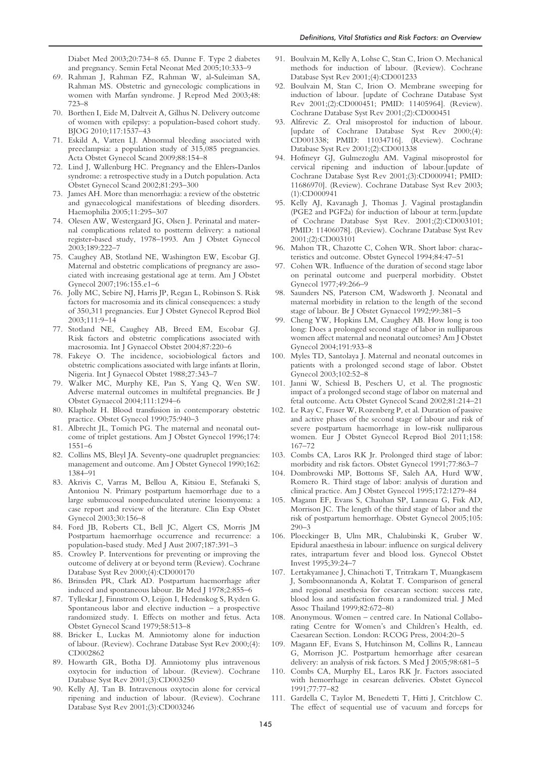Diabet Med 2003;20:734–8 65. Dunne F. Type 2 diabetes and pregnancy. Semin Fetal Neonat Med 2005;10:333–9

- 69. Rahman J, Rahman FZ, Rahman W, al-Suleiman SA, Rahman MS. Obstetric and gynecologic complications in women with Marfan syndrome. J Reprod Med 2003;48: 723–8
- 70. Borthen I, Eide M, Daltveit A, Gilhus N. Delivery outcome of women with epilepsy: a population-based cohort study. BJOG 2010;117:1537–43
- 71. Eskild A, Vatten LJ. Abnormal bleeding associated with preeclampsia: a population study of 315,085 pregnancies. Acta Obstet Gynecol Scand 2009;88:154–8
- 72. Lind J, Wallenburg HC. Pregnancy and the Ehlers-Danlos syndrome: a retrospective study in a Dutch population. Acta Obstet Gynecol Scand 2002;81:293–300
- 73. James AH. More than menorrhagia: a review of the obstetric and gynaecological manifestations of bleeding disorders. Haemophilia 2005;11:295–307
- 74. Olesen AW, Westergaard JG, Olsen J. Perinatal and maternal complications related to postterm delivery: a national register-based study, 1978–1993. Am J Obstet Gynecol 2003;189:222–7
- 75. Caughey AB, Stotland NE, Washington EW, Escobar GJ. Maternal and obstetric complications of pregnancy are associated with increasing gestational age at term. Am J Obstet Gynecol 2007;196:155.e1–6
- 76. Jolly MC, Sebire NJ, Harris JP, Regan L, Robinson S. Risk factors for macrosomia and its clinical consequences: a study of 350,311 pregnancies. Eur J Obstet Gynecol Reprod Biol 2003;111:9–14
- 77. Stotland NE, Caughey AB, Breed EM, Escobar GJ. Risk factors and obstetric complications associated with macrosomia. Int J Gynaecol Obstet 2004;87:220–6
- 78. Fakeye O. The incidence, sociobiological factors and obstetric complications associated with large infants at Ilorin, Nigeria. Int J Gynaecol Obstet 1988;27:343–7
- 79. Walker MC, Murphy KE, Pan S, Yang Q, Wen SW. Adverse maternal outcomes in multifetal pregnancies. Br J Obstet Gynaecol 2004;111:1294–6
- 80. Klapholz H. Blood transfusion in contemporary obstetric practice. Obstet Gynecol 1990;75:940–3
- 81. Albrecht JL, Tomich PG. The maternal and neonatal outcome of triplet gestations. Am J Obstet Gynecol 1996;174: 1551–6
- 82. Collins MS, Bleyl JA. Seventy-one quadruplet pregnancies: management and outcome. Am J Obstet Gynecol 1990;162: 1384–91
- 83. Akrivis C, Varras M, Bellou A, Kitsiou E, Stefanaki S, Antoniou N. Primary postpartum haemorrhage due to a large submucosal nonpedunculated uterine leiomyoma: a case report and review of the literature. Clin Exp Obstet Gynecol 2003;30:156–8
- 84. Ford JB, Roberts CL, Bell JC, Algert CS, Morris JM Postpartum haemorrhage occurrence and recurrence: a population-based study. Med J Aust 2007;187:391–3
- 85. Crowley P. Interventions for preventing or improving the outcome of delivery at or beyond term (Review). Cochrane Database Syst Rev 2000;(4):CD000170
- 86. Brinsden PR, Clark AD. Postpartum haemorrhage after induced and spontaneous labour. Br Med J 1978;2:855–6
- 87. Tylleskar J, Finnstrom O, Leijon I, Hedenskog S, Ryden G. Spontaneous labor and elective induction – a prospective randomized study. I. Effects on mother and fetus. Acta Obstet Gynecol Scand 1979;58:513–8
- 88. Bricker L, Luckas M. Amniotomy alone for induction of labour. (Review). Cochrane Database Syst Rev 2000;(4): CD002862
- 89. Howarth GR, Botha DJ. Amniotomy plus intravenous oxytocin for induction of labour. (Review). Cochrane Database Syst Rev 2001;(3):CD003250
- 90. Kelly AJ, Tan B. Intravenous oxytocin alone for cervical ripening and induction of labour. (Review). Cochrane Database Syst Rev 2001;(3):CD003246
- 91. Boulvain M, Kelly A, Lohse C, Stan C, Irion O. Mechanical methods for induction of labour. (Review). Cochrane Database Syst Rev 2001;(4):CD001233
- 92. Boulvain M, Stan C, Irion O. Membrane sweeping for induction of labour. [update of Cochrane Database Syst Rev 2001;(2):CD000451; PMID: 11405964]. (Review). Cochrane Database Syst Rev 2001;(2):CD000451
- 93. Alfirevic Z. Oral misoprostol for induction of labour. [update of Cochrane Database Syst Rev 2000;(4): CD001338; PMID: 11034716]. (Review). Cochrane Database Syst Rev 2001;(2):CD001338
- 94. Hofmeyr GJ, Gulmezoglu AM. Vaginal misoprostol for cervical ripening and induction of labour.[update of Cochrane Database Syst Rev 2001;(3):CD000941; PMID: 11686970]. (Review). Cochrane Database Syst Rev 2003; (1):CD000941
- 95. Kelly AJ, Kavanagh J, Thomas J. Vaginal prostaglandin (PGE2 and PGF2a) for induction of labour at term.[update of Cochrane Database Syst Rev. 2001;(2):CD003101; PMID: 11406078]. (Review). Cochrane Database Syst Rev 2001;(2):CD003101
- 96. Mahon TR, Chazotte C, Cohen WR. Short labor: characteristics and outcome. Obstet Gynecol 1994;84:47–51
- 97. Cohen WR. Influence of the duration of second stage labor on perinatal outcome and puerperal morbidity. Obstet Gynecol 1977;49:266–9
- 98. Saunders NS, Paterson CM, Wadsworth J. Neonatal and maternal morbidity in relation to the length of the second stage of labour. Br J Obstet Gynaecol 1992;99:381–5
- 99. Cheng YW, Hopkins LM, Caughey AB. How long is too long: Does a prolonged second stage of labor in nulliparous women affect maternal and neonatal outcomes? Am J Obstet Gynecol 2004;191:933–8
- 100. Myles TD, Santolaya J. Maternal and neonatal outcomes in patients with a prolonged second stage of labor. Obstet Gynecol 2003;102:52–8
- 101. Janni W, Schiessl B, Peschers U, et al. The prognostic impact of a prolonged second stage of labor on maternal and fetal outcome. Acta Obstet Gynecol Scand 2002;81:214–21
- 102. Le Ray C, Fraser W, Rozenberg P, et al. Duration of passive and active phases of the second stage of labour and risk of severe postpartum haemorrhage in low-risk nulliparous women. Eur J Obstet Gynecol Reprod Biol 2011;158: 167–72
- 103. Combs CA, Laros RK Jr. Prolonged third stage of labor: morbidity and risk factors. Obstet Gynecol 1991;77:863–7
- 104. Dombrowski MP, Bottoms SF, Saleh AA, Hurd WW, Romero R. Third stage of labor: analysis of duration and clinical practice. Am J Obstet Gynecol 1995;172:1279–84
- 105. Magann EF, Evans S, Chauhan SP, Lanneau G, Fisk AD, Morrison JC. The length of the third stage of labor and the risk of postpartum hemorrhage. Obstet Gynecol 2005;105: 290–3
- 106. Ploeckinger B, Ulm MR, Chalubinski K, Gruber W. Epidural anaesthesia in labour: influence on surgical delivery rates, intrapartum fever and blood loss. Gynecol Obstet Invest 1995;39:24–7
- 107. Lertakyamanee J, Chinachoti T, Tritrakarn T, Muangkasem J, Somboonnanonda A, Kolatat T. Comparison of general and regional anesthesia for cesarean section: success rate, blood loss and satisfaction from a randomized trial. J Med Assoc Thailand 1999;82:672–80
- 108. Anonymous. Women centred care. In National Collaborating Centre for Women's and Children's Health, ed. Caesarean Section. London: RCOG Press, 2004:20–5
- 109. Magann EF, Evans S, Hutchinson M, Collins R, Lanneau G, Morrison JC. Postpartum hemorrhage after cesarean delivery: an analysis of risk factors. S Med J 2005;98:681–5
- 110. Combs CA, Murphy EL, Laros RK Jr. Factors associated with hemorrhage in cesarean deliveries. Obstet Gynecol 1991;77:77–82
- 111. Gardella C, Taylor M, Benedetti T, Hitti J, Critchlow C. The effect of sequential use of vacuum and forceps for